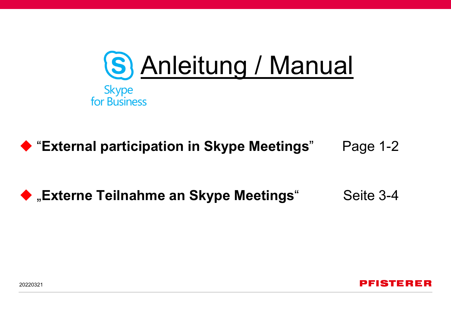

◆ "External participation in Skype Meetings" Page 1-2

# ◆ "Externe Teilnahme an Skype Meetings" Seite 3-4



20220321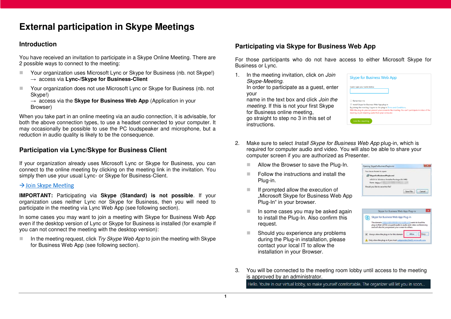# **External participation in Skype Meetings**

### **Introduction**

You have received an invitation to participate in a Skype Online Meeting. There are 2 possible ways to connect to the meeting:

- Your organization uses Microsoft Lync or Skype for Business (nb. not Skype!) → access via **Lync-/Skype for Business-Client**
- Your organization does not use Microsoft Lync or Skype for Business (nb. not Skype!)

 $\rightarrow$  access via the **Skype for Business Web App** (Application in your Browser)

When you take part in an online meeting via an audio connection, it is advisable, for both the above connection types, to use a headset connected to your computer. It may occasionally be possible to use the PC loudspeaker and microphone, but a reduction in audio quality is likely to be the consequence.

### **Participation via Lync/Skype for Business Client**

If your organization already uses Microsoft Lync or Skype for Business, you can connect to the online meeting by clicking on the meeting link in the invitation. You simply then use your usual Lync- or Skype for Business-Client.

#### $\rightarrow$  Join Skype Meeting

**IMPORTANT:** Participating via **Skype (Standard) is not possible**. If your organization uses neither Lync nor Skype for Business, then you will need to participate in the meeting via Lync Web App (see following section).

In some cases you may want to join a meeting with Skype for Business Web App even if the desktop version of Lync or Skype for Business is installed (for example if you can not connect the meeting with the desktop version):

In the meeting request, click Try Skype Web App to join the meeting with Skype for Business Web App (see following section).

### **Participating via Skype for Business Web App**

For those participants who do not have access to either Microsoft Skype for Business or Lync.

1. In the meeting invitation, click on Join Skype-Meeting. In order to participate as a guest, enter your

name in the text box and click Join the meeting. If this is not your first Skype for Business online meeting, go straight to step no 3 in this set of instructions.

| Guest, type your name below                                                                         |
|-----------------------------------------------------------------------------------------------------|
|                                                                                                     |
|                                                                                                     |
|                                                                                                     |
|                                                                                                     |
| Remember me                                                                                         |
| Install Skype for Business Web App plug-in                                                          |
| By joining the meeting, I agree to the plug-in Terms and Conditions.                                |
| With the plug-in, you can present your screen in the meeting. You can't participate in video of the |
|                                                                                                     |

- 2. Make sure to select *Install Skype for Business Web App* plug-in, which is required for computer audio and video. You will also be able to share your computer screen if you are authorized as Presenter.
	- **Allow the Browser to save the Plug-In.**
	- $\blacksquare$  Follow the instructions and install the Plug-in.
	- $\blacksquare$  If prompted allow the execution of "Microsoft Skype for Business Web App Plug-In" in your browser.
	- $\blacksquare$  In some cases you may be asked again to install the Plug-In. Also confirm this request.
	- Should you experience any problems during the Plug-in installation, please contact your local IT to allow the installation in your Browser.

| You have chosen to open:                     |  |
|----------------------------------------------|--|
| SkypeForBusinessPlugin.msi                   |  |
| which is: Windows Installer Package (B.4 MB) |  |
| from: https://                               |  |
| Would you like to save this file?            |  |
|                                              |  |



3. You will be connected to the meeting room lobby until access to the meeting is approved by an administrator.

Hello. You're in our virtual lobby, so make yourself comfortable. The organizer will let you in soon...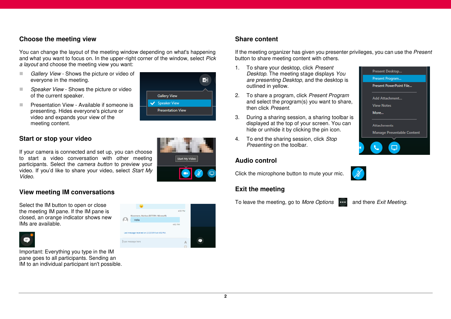### **Choose the meeting view**

You can change the layout of the meeting window depending on what's happening and what you want to focus on. In the upper-right corner of the window, select Pick a layout and choose the meeting view you want:

- Gallery View Shows the picture or video of everyone in the meeting.
- Speaker View Shows the picture or video of the current speaker.
- **Presentation View Available if someone is** presenting. Hides everyone's picture or video and expands your view of the meeting content.



If your camera is connected and set up, you can choose to start a video conversation with other meeting participants. Select the camera button to preview your video. If you'd like to share your video, select Start My Video.

### **View meeting IM conversations**

Select the IM button to open or close the meeting IM pane. If the IM pane is closed, an orange indicator shows new IMs are available.



θ

Important: Everything you type in the IM pane goes to all participants. Sending an IM to an individual participant isn't possible.





### **Share content**

If the meeting organizer has given you presenter privileges, you can use the Present button to share meeting content with others.

- 1. To share your desktop, click Present Desktop. The meeting stage displays You are presenting Desktop, and the desktop is outlined in yellow.
- 2. To share a program, click Present Program and select the program(s) you want to share, then click Present.
- 3. During a sharing session, a sharing toolbar is displayed at the top of your screen. You can hide or unhide it by clicking the pin icon.
- 4. To end the sharing session, click Stop Presenting on the toolbar.

### **Audio control**

Click the microphone button to mute your mic.

### **Exit the meeting**

To leave the meeting, go to More Options **and there Exit Meeting.** 



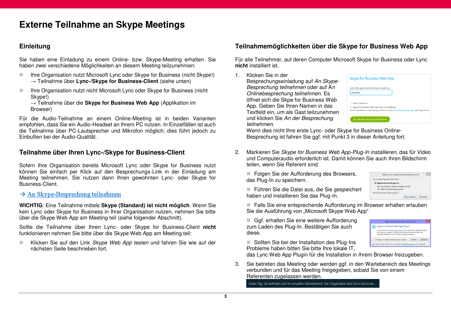## **Externe Teilnahme an Skype Meetings**

### **Einleitung**

Sie haben eine Einladung zu einem Online- bzw. Skype-Meeting erhalten. Sie haben zwei verschiedene Möglichkeiten an diesem Meeting teilzunehmen:

- Ihre Organisation nutzt Microsoft Lync oder Skype for Business (nicht Skype!) → Teilnahme über **Lync-/Skype for Business-Client** (siehe unten)
- Ihre Organisation nutzt nicht Microsoft Lync oder Skype for Business (nicht Skype!)

→ Teilnahme über die **Skype for Business Web App** (Applikation im Browser)

Für die Audio-Teilnahme an einem Online-Meeting ist in beiden Varianten empfohlen, dass Sie ein Audio-Headset an Ihrem PC nutzen. In Einzelfällen ist auch die Teilnahme über PC-Lautsprecher und Mikrofon möglich; dies führt jedoch zu Einbußen bei der Audio-Qualität.

### **Teilnahme über Ihren Lync-/Skype for Business-Client**

Sofern Ihre Organisation bereits Microsoft Lync oder Skype for Business nutzt können Sie einfach per Klick auf den Besprechungs-Link in der Einladung am Meeting teilnehmen. Sie nutzen dann Ihren gewohnten Lync- oder Skype for Business-Client.

 $\rightarrow$  An Skype-Besprechung teilnehmen

**WICHTIG**: Eine Teilnahme mittels **Skype (Standard) ist nicht möglich**. Wenn Sie kein Lync oder Skype for Business in Ihrer Organisation nutzen, nehmen Sie bitte über die Skype Web App am Meeting teil (siehe folgender Abschnitt).

Sollte die Teilnahme über Ihren Lync- oder Skype for Business-Client **nicht** funktionieren nehmen Sie bitte über die Skype Web App am Meeting teil:

Klicken Sie auf den Link Skype Web App testen und fahren Sie wie auf der nächsten Seite beschrieben fort.

### **Teilnahmemöglichkeiten über die Skype for Business Web App**

Für alle Teilnehmer, auf deren Computer Microsoft Skype for Business oder Lync **nicht** installiert ist.

1. Klicken Sie in der

Besprechungseinladung auf An Skype-Besprechung teilnehmen oder auf An Onlinebesprechung teilnehmen. Es öffnet sich die Skpe for Business Web App. Geben Sie Ihren Namen in das Textfeld ein, um als Gast teilzunehmen und klicken Sie An der Besprechung teilnehmen.

|                 | Gast, bitte geben Sie Ihren Namen unten an.       |  |
|-----------------|---------------------------------------------------|--|
| Christina       |                                                   |  |
|                 |                                                   |  |
| Daten speichern |                                                   |  |
|                 | ⊠ Skype for Business Web App Plug-In installieren |  |

Wenn dies nicht Ihre erste Lync- oder Skype for Business Online-Besprechung ist fahren Sie ggf. mit Punkt 3 in dieser Anleitung fort.

2. Markieren Sie Skype for Business Web App-Plug-In installieren, das für Video und Computeraudio erforderlich ist. Damit können Sie auch Ihren Bildschirm teilen, wenn Sie Referent sind.

Folgen Sie der Aufforderung des Browsers, das Plug-In zu speichern.

 Führen Sie die Datei aus, die Sie gespeichert haben und installieren Sie das Plug-In.

Öffnen von SkypeForBusinessPlugin.msi Sie mörbten folgende Datei Affnan SkyneForRusinessPlugin msi Vom Typ: Windows Installer Package (8,4 MB) Von: https://rtc02web.ywgroup.com .<br>Morksen Sie diese Datei sneichern Datei speichern Abbreche

Skype for Business Web App-Plug-S Skype for Business Web App-Plug-In In der Domäne "ric02web.vwgroup.com" soll das Plug-In geladen w<br>mit dem Sie an Audio- und Videokonferenzen teilnehmen und Ihren

Lassen Sie das Plug-In nur zu, wenn Sie "rtc02w

■ Falls Sie eine entsprechende Aufforderung im Browser erhalten erlauben Sie die Ausführung von "Microsoft Skype Web App"

Ggf. erhalten Sie eine weitere Aufforderung zum Laden des Plug-In. Bestätigen Sie auch diese.

■ Sollten Sie bei der Installation des Plug-Ins Probleme haben bitten Sie bitte Ihre lokale IT,

das Lync Web App Plugin für die Installation in Ihrem Browser freizugeben.

3. Sie betreten das Meeting oder werden ggf. in den Wartebereich des Meetings verbunden und für das Meeting freigegeben, sobald Sie von einem Referenten zugelassen werden.

Guten Tag. Sie befinden sich im virtuellen Wartebereich. Der Organisator lässt Sie in Kürze ein.